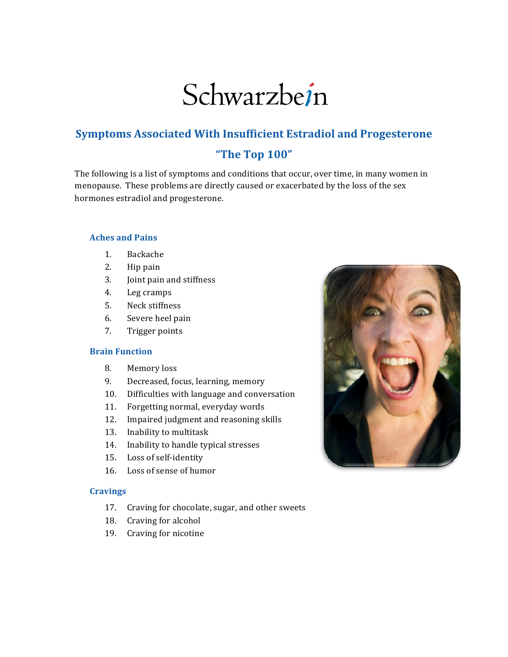# Schwarzbein

# **Symptoms Associated With Insufficient Estradiol and Progesterone "The!Top!100"**

The following is a list of symptoms and conditions that occur, over time, in many women in menopause. These problems are directly caused or exacerbated by the loss of the sex hormones estradiol and progesterone.

# **Aches and Pains**

- 1. Backache
- $2.$  Hip pain
- 3. Joint pain and stiffness
- 4. Leg cramps
- 5. Neck stiffness
- 6. Severe heel pain
- 7. Trigger points

# **Brain Function**

- 8. Memory loss
- 9. Decreased, focus, learning, memory
- 10. Difficulties with language and conversation
- 11. Forgetting normal, everyday words
- 12. Impaired judgment and reasoning skills
- 13. Inability to multitask
- 14. Inability to handle typical stresses
- 15. Loss of self-identity
- 16. Loss of sense of humor

#### **Cravings!**

- 17. Craving for chocolate, sugar, and other sweets
- 18. Craving for alcohol
- 19. Craving for nicotine

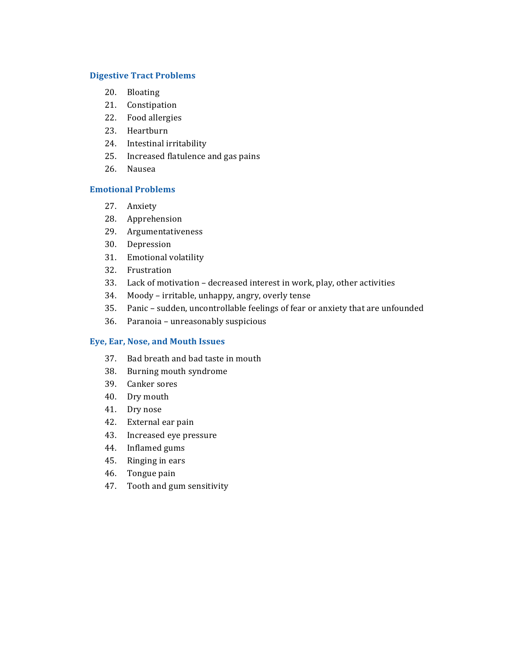# **Digestive Tract Problems**

- 20. Bloating
- 21. Constipation
- 22. Food allergies
- 23. Heartburn
- 24. Intestinal irritability
- 25. Increased flatulence and gas pains
- 26. Nausea

# **Emotional!Problems!**

- 27. Anxiety
- 28. Apprehension
- 29. Argumentativeness
- 30. Depression
- 31. Emotional volatility
- 32. Frustration
- 33. Lack of motivation decreased interest in work, play, other activities
- 34. Moody irritable, unhappy, angry, overly tense
- 35. Panic sudden, uncontrollable feelings of fear or anxiety that are unfounded
- 36. Paranoia unreasonably suspicious

# **Eye, Ear, Nose, and Mouth Issues**

- 37. Bad breath and bad taste in mouth
- 38. Burning mouth syndrome
- 39. Canker sores
- 40. Dry mouth
- 41. Dry nose
- 42. External ear pain
- 43. Increased eye pressure
- 44. Inflamed gums
- 45. Ringing in ears
- 46. Tongue pain
- 47. Tooth and gum sensitivity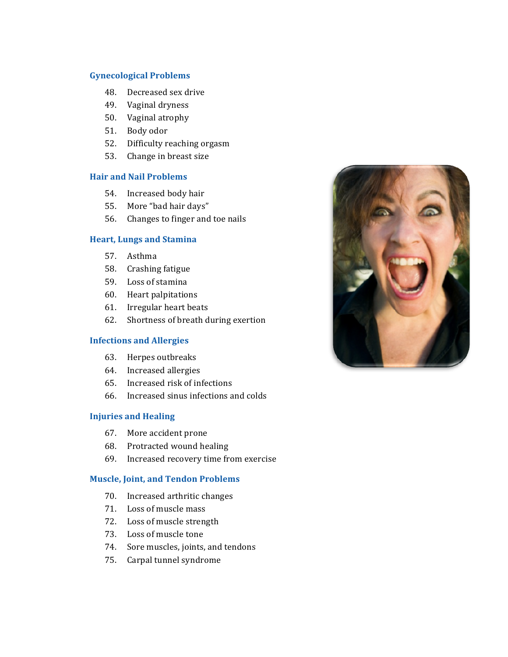# **Gynecological!Problems!**

- 48. Decreased sex drive
- 49. Vaginal dryness
- 50. Vaginal atrophy
- 51. Body odor
- 52. Difficulty reaching orgasm
- 53. Change in breast size

# **Hair and Nail Problems**

- 54. Increased body hair
- 55. More "bad hair days"
- 56. Changes to finger and toe nails

# **Heart, Lungs and Stamina**

- 57. Asthma
- 58. Crashing fatigue
- 59. Loss of stamina
- 60. Heart palpitations
- 61. Irregular heart beats
- 62. Shortness of breath during exertion

# **Infections and Allergies**

- 63. Herpes outbreaks
- 64. Increased allergies
- $65.$  Increased risk of infections
- $66.$  Increased sinus infections and colds

# **Injuries and Healing**

- 67. More accident prone
- 68. Protracted wound healing
- 69. Increased recovery time from exercise

# **Muscle, Joint, and Tendon Problems**

- 70. Increased arthritic changes
- 71. Loss of muscle mass
- 72. Loss of muscle strength
- 73. Loss of muscle tone
- 74. Sore muscles, joints, and tendons
- 75. Carpal tunnel syndrome